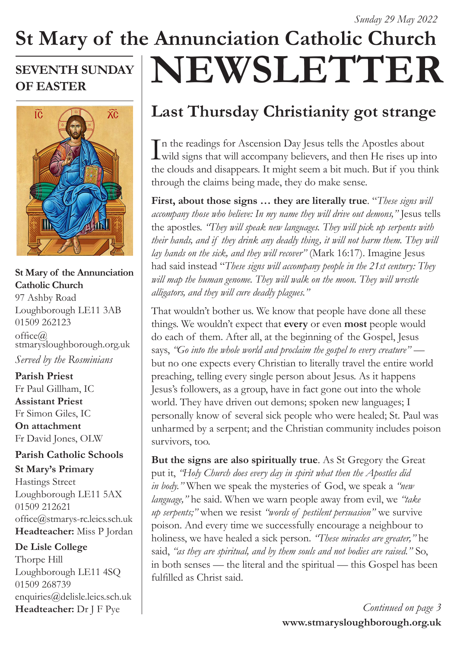## **St Mary of the Annunciation Catholic Church NEWSLETTER SEVENTH SUNDAY OF EASTER**



### **St Mary of the Annunciation Catholic Church**

97 Ashby Road Loughborough LE11 3AB 01509 262123  $offce@$ stmarysloughborough.org.uk *Served by the Rosminians*

**Parish Priest**  Fr Paul Gillham, IC **Assistant Priest**  Fr Simon Giles, IC **On attachment**  Fr David Jones, OLW

### **Parish Catholic Schools**

**St Mary's Primary** Hastings Street Loughborough LE11 5AX 01509 212621 office@stmarys-rc.leics.sch.uk **Headteacher:** Miss P Jordan

**De Lisle College** 

Thorpe Hill Loughborough LE11 4SQ 01509 268739 enquiries@delisle.leics.sch.uk **Headteacher:** Dr J F Pye

# **Last Thursday Christianity got strange**

In the readings for Ascension Day Jesus tells the Apostles about<br>wild signs that will accompany believers, and then He rises up into n the readings for Ascension Day Jesus tells the Apostles about the clouds and disappears. It might seem a bit much. But if you think through the claims being made, they do make sense.

**First, about those signs … they are literally true**. "*These signs will accompany those who believe: In my name they will drive out demons,"* Jesus tells the apostles. *"They will speak new languages. They will pick up serpents with their hands, and if they drink any deadly thing, it will not harm them. They will lay hands on the sick, and they will recover"* (Mark 16:17). Imagine Jesus had said instead "*These signs will accompany people in the 21st century: They will map the human genome. They will walk on the moon. They will wrestle alligators, and they will cure deadly plagues."*

That wouldn't bother us. We know that people have done all these things. We wouldn't expect that **every** or even **most** people would do each of them. After all, at the beginning of the Gospel, Jesus says, *"Go into the whole world and proclaim the gospel to every creature"* but no one expects every Christian to literally travel the entire world preaching, telling every single person about Jesus. As it happens Jesus's followers, as a group, have in fact gone out into the whole world. They have driven out demons; spoken new languages; I personally know of several sick people who were healed; St. Paul was unharmed by a serpent; and the Christian community includes poison survivors, too.

**But the signs are also spiritually true**. As St Gregory the Great put it, *"Holy Church does every day in spirit what then the Apostles did in body."* When we speak the mysteries of God, we speak a *"new language,"* he said. When we warn people away from evil, we *"take up serpents;"* when we resist *"words of pestilent persuasion"* we survive poison. And every time we successfully encourage a neighbour to holiness, we have healed a sick person. *"These miracles are greater,"* he said, *"as they are spiritual, and by them souls and not bodies are raised."* So, in both senses — the literal and the spiritual — this Gospel has been fulfilled as Christ said.

> **www.stmarysloughborough.org.uk** *Continued on page 3*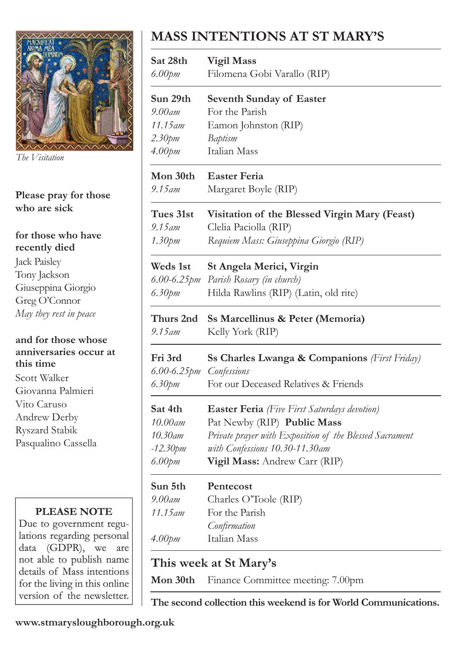

*The Visitation*

### **Please pray for those who are sick**

#### **for those who have recently died**

Jack Paisley Tony Jackson Giuseppina Giorgio Greg O'Connor *May they rest in peace*

#### **and for those whose anniversaries occur at this time**

Scott Walker Giovanna Palmieri Vito Caruso Andrew Derby Ryszard Stabik Pasqualino Cassella

### **PLEASE NOTE**

Due to government regulations regarding personal data (GDPR), we are not able to publish name details of Mass intentions for the living in this online version of the newsletter.

# **MASS INTENTIONS AT ST MARY'S**

| Sat 28th<br>$6.00$ pm   | <b>Vigil Mass</b><br>Filomena Gobi Varallo (RIP)        |
|-------------------------|---------------------------------------------------------|
|                         |                                                         |
| Sun 29th<br>9.00am      | <b>Seventh Sunday of Easter</b><br>For the Parish       |
| 11.15 am                | Eamon Johnston (RIP)                                    |
| 2.30pm                  | Baptism                                                 |
| 4.00pm                  | Italian Mass                                            |
| Mon 30th                | <b>Easter Feria</b>                                     |
| 9.15 am                 | Margaret Boyle (RIP)                                    |
| Tues 31st               | Visitation of the Blessed Virgin Mary (Feast)           |
| 9.15 am                 | Clelia Paciolla (RIP)                                   |
| 1.30pm                  | Requiem Mass: Giuseppina Giorgio (RIP)                  |
| <b>Weds 1st</b>         | St Angela Merici, Virgin                                |
| $6.00 - 6.25$ pm        | Parish Rosary (in church)                               |
| 6.30pm                  | Hilda Rawlins (RIP) (Latin, old rite)                   |
| Thurs 2nd               | Ss Marcellinus & Peter (Memoria)                        |
| 9.15 am                 | Kelly York (RIP)                                        |
| Fri 3rd                 | Ss Charles Lwanga & Companions (First Friday)           |
| 6.00-6.25pm Confessions |                                                         |
| 6.30pm                  | For our Deceased Relatives & Friends                    |
| Sat 4th                 | <b>Easter Feria</b> (Five First Saturdays devotion)     |
| 10.00am                 | Pat Newby (RIP) Public Mass                             |
| 10.30am                 | Private prayer with Exposition of the Blessed Sacrament |
|                         |                                                         |
| $-12.30$ pm             | with Confessions 10.30-11.30am                          |
| 6.00pm                  | Vigil Mass: Andrew Carr (RIP)                           |
| Sun 5th                 | Pentecost                                               |
| 9.00am                  | Charles O'Toole (RIP)                                   |
| 11.15 am                | For the Parish                                          |
|                         | Confirmation                                            |

### **This week at St Mary's**

**Mon 30th** Finance Committee meeting: 7.00pm

**The second collection this weekend is for World Communications.**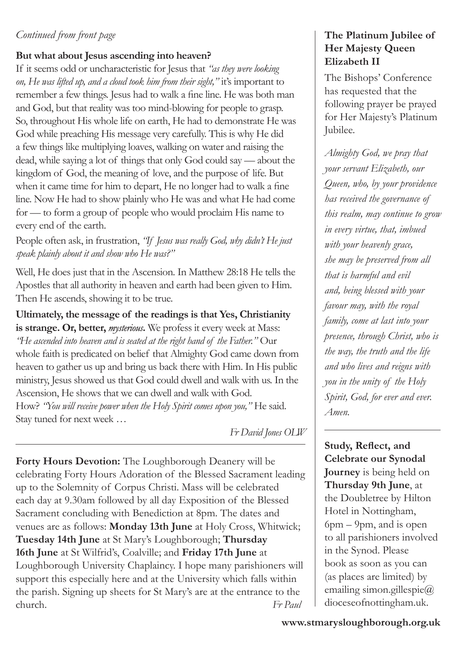### *Continued from front page*

### **But what about Jesus ascending into heaven?**

If it seems odd or uncharacteristic for Jesus that *"as they were looking on, He was lifted up, and a cloud took him from their sight,"* it's important to remember a few things. Jesus had to walk a fine line. He was both man and God, but that reality was too mind-blowing for people to grasp. So, throughout His whole life on earth, He had to demonstrate He was God while preaching His message very carefully. This is why He did a few things like multiplying loaves, walking on water and raising the dead, while saying a lot of things that only God could say — about the kingdom of God, the meaning of love, and the purpose of life. But when it came time for him to depart, He no longer had to walk a fine line. Now He had to show plainly who He was and what He had come for — to form a group of people who would proclaim His name to every end of the earth.

People often ask, in frustration, *"If Jesus was really God, why didn't He just speak plainly about it and show who He was?"*

Well, He does just that in the Ascension. In Matthew 28:18 He tells the Apostles that all authority in heaven and earth had been given to Him. Then He ascends, showing it to be true.

**Ultimately, the message of the readings is that Yes, Christianity is strange. Or, better,** *mysterious***.** We profess it every week at Mass: *"He ascended into heaven and is seated at the right hand of the Father."* Our whole faith is predicated on belief that Almighty God came down from heaven to gather us up and bring us back there with Him. In His public ministry, Jesus showed us that God could dwell and walk with us. In the Ascension, He shows that we can dwell and walk with God. How? "You will receive power when the Holy Spirit comes upon you," He said. Stay tuned for next week …

*Fr David Jones OLW*

**Forty Hours Devotion:** The Loughborough Deanery will be celebrating Forty Hours Adoration of the Blessed Sacrament leading up to the Solemnity of Corpus Christi. Mass will be celebrated each day at 9.30am followed by all day Exposition of the Blessed Sacrament concluding with Benediction at 8pm. The dates and venues are as follows: **Monday 13th June** at Holy Cross, Whitwick; **Tuesday 14th June** at St Mary's Loughborough; **Thursday 16th June** at St Wilfrid's, Coalville; and **Friday 17th June** at Loughborough University Chaplaincy. I hope many parishioners will support this especially here and at the University which falls within the parish. Signing up sheets for St Mary's are at the entrance to the church. *Fr Paul*

### **The Platinum Jubilee of Her Majesty Queen Elizabeth II**

The Bishops' Conference has requested that the following prayer be prayed for Her Majesty's Platinum Jubilee.

*Almighty God, we pray that your servant Elizabeth, our Queen, who, by your providence has received the governance of this realm, may continue to grow in every virtue, that, imbued with your heavenly grace, she may be preserved from all that is harmful and evil and, being blessed with your favour may, with the royal family, come at last into your presence, through Christ, who is the way, the truth and the life and who lives and reigns with you in the unity of the Holy Spirit, God, for ever and ever. Amen.*

**Study, Reflect, and Celebrate our Synodal Journey** is being held on **Thursday 9th June**, at the Doubletree by Hilton Hotel in Nottingham, 6pm – 9pm, and is open to all parishioners involved in the Synod. Please book as soon as you can (as places are limited) by emailing simon.gillespie $@$ dioceseofnottingham.uk.